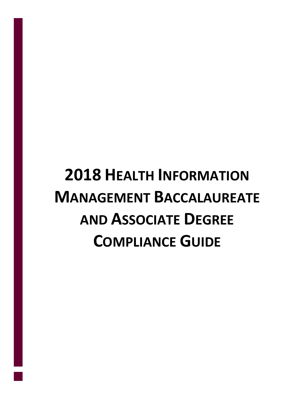# **2018 HEALTH INFORMATION MANAGEMENT BACCALAUREATE AND ASSOCIATE DEGREE COMPLIANCE GUIDE**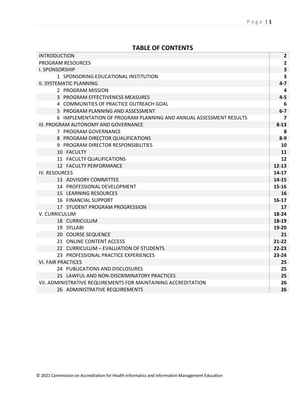# **TABLE OF CONTENTS**

| <b>INTRODUCTION</b>                                                | $\mathbf{2}$            |
|--------------------------------------------------------------------|-------------------------|
| <b>PROGRAM RESOURCES</b>                                           | $\mathbf{2}$            |
| <b>I. SPONSORSHIP</b>                                              | $\overline{\mathbf{3}}$ |
| 1 SPONSORING EDUCATIONAL INSTITUTION                               | $\overline{\mathbf{3}}$ |
| II. SYSTEMATIC PLANNING                                            | $4 - 7$                 |
| 2 PROGRAM MISSION                                                  | 4                       |
| 3 PROGRAM EFFECTIVENESS MEASURES                                   | $4 - 5$                 |
| 4 COMMUNITIES OF PRACTICE OUTREACH GOAL                            | 6                       |
| 5 PROGRAM PLANNING AND ASSESSMENT                                  | $6-7$                   |
| 6 IMPLEMENTATION OF PROGRAM PLANNING AND ANNUAL ASSESSMENT RESULTS | $\overline{ }$          |
| III. PROGRAM AUTONOMY AND GOVERNANCE                               | $8 - 13$                |
| 7 PROGRAM GOVERNANCE                                               | 8                       |
| 8 PROGRAM DIRECTOR QUALIFICATIONS                                  | $8-9$                   |
| 9 PROGRAM DIRECTOR RESPONSIBILITIES                                | 10                      |
| 10 FACULTY                                                         | 11                      |
| 11 FACULTY QUALIFICATIONS                                          | 12                      |
| 12 FACULTY PERFORMANCE                                             | $12 - 13$               |
| <b>IV. RESOURCES</b>                                               | $14 - 17$               |
| 13 ADVISORY COMMITTEE                                              | $14 - 15$               |
| 14 PROFESSIONAL DEVELOPMENT                                        | $15 - 16$               |
| <b>15 LEARNING RESOURCES</b>                                       | 16                      |
| <b>16 FINANCIAL SUPPORT</b>                                        | $16-17$                 |
| 17 STUDENT PROGRAM PROGRESSION                                     | 17                      |
| V. CURRICULUM                                                      | 18-24                   |
| 18 CURRICULUM                                                      | 18-19                   |
| 19 SYLLABI                                                         | 19-20                   |
| 20 COURSE SEQUENCE                                                 | 21                      |
| 21 ONLINE CONTENT ACCESS                                           | $21 - 22$               |
| 22 CURRICULUM - EVALUATION OF STUDENTS                             | $22 - 23$               |
| 23 PROFESSIONAL PRACTICE EXPERIENCES                               | $23 - 24$               |
| <b>VI. FAIR PRACTICES</b>                                          | 25                      |
| 24 PUBLICATIONS AND DISCLOSURES                                    | 25                      |
| 25 LAWFUL AND NON-DISCRIMINATORY PRACTICES                         | 25                      |
| VII. ADMINISTRATIVE REQUIREMENTS FOR MAINTAINING ACCREDITATION     | 26                      |
| 26 ADMINISTRATIVE REQUIREMENTS                                     | 26                      |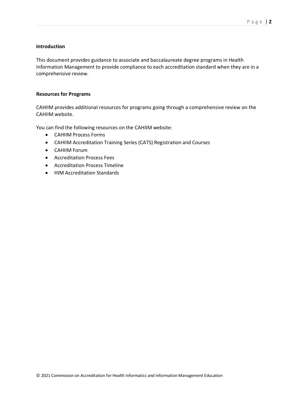# **Introduction**

This document provides guidance to associate and baccalaureate degree programs in Health Information Management to provide compliance to each accreditation standard when they are in a comprehensive review.

# **Resources for Programs**

CAHIIM provides additional resources for programs going through a comprehensive review on the CAHIIM website.

You can find the following resources on the CAHIIM website:

- CAHIIM Process Forms
- CAHIIM Accreditation Training Series (CATS) Registration and Courses
- CAHIIM Forum
- Accreditation Process Fees
- Accreditation Process Timeline
- HIM Accreditation Standards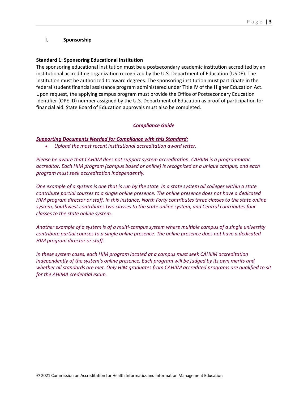# **I. Sponsorship**

# **Standard 1: Sponsoring Educational Institution**

The sponsoring educational institution must be a postsecondary academic institution accredited by an institutional accrediting organization recognized by the U.S. Department of Education (USDE). The Institution must be authorized to award degrees. The sponsoring institution must participate in the federal student financial assistance program administered under Title IV of the Higher Education Act. Upon request, the applying campus program must provide the Office of Postsecondary Education Identifier (OPE ID) number assigned by the U.S. Department of Education as proof of participation for financial aid. State Board of Education approvals must also be completed.

# *Compliance Guide*

# *Supporting Documents Needed for Compliance with this Standard:*

• *Upload the most recent institutional accreditation award letter.*

*Please be aware that CAHIIM does not support system accreditation. CAHIIM is a programmatic accreditor. Each HIM program (campus based or online) is recognized as a unique campus, and each program must seek accreditation independently.*

*One example of a system is one that is run by the state. In a state system all colleges within a state contribute partial courses to a single online presence. The online presence does not have a dedicated HIM program director or staff. In this instance, North Forty contributes three classes to the state online system, Southwest contributes two classes to the state online system, and Central contributes four classes to the state online system.*

*Another example of a system is of a multi-campus system where multiple campus of a single university contribute partial courses to a single online presence. The online presence does not have a dedicated HIM program director or staff.*

*In these system cases, each HIM program located at a campus must seek CAHIIM accreditation independently of the system's online presence. Each program will be judged by its own merits and whether all standards are met. Only HIM graduates from CAHIIM accredited programs are qualified to sit for the AHIMA credential exam.*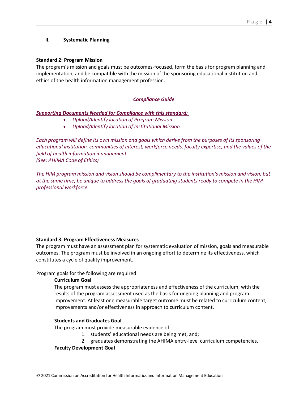# **II. Systematic Planning**

# **Standard 2: Program Mission**

The program's mission and goals must be outcomes-focused, form the basis for program planning and implementation, and be compatible with the mission of the sponsoring educational institution and ethics of the health information management profession.

# *Compliance Guide*

# *Supporting Documents Needed for Compliance with this standard:*

- *Upload/Identify location of Program Mission*
- *Upload/Identify location of Institutional Mission*

*Each program will define its own mission and goals which derive from the purposes of its sponsoring educational institution, communities of interest, workforce needs, faculty expertise, and the values of the field of health information management. (See: AHIMA Code of Ethics)*

*The HIM program mission and vision should be complimentary to the institution's mission and vision; but at the same time, be unique to address the goals of graduating students ready to compete in the HIM professional workforce.*

# **Standard 3: Program Effectiveness Measures**

The program must have an assessment plan for systematic evaluation of mission, goals and measurable outcomes. The program must be involved in an ongoing effort to determine its effectiveness, which constitutes a cycle of quality improvement.

Program goals for the following are required:

# **Curriculum Goal**

The program must assess the appropriateness and effectiveness of the curriculum, with the results of the program assessment used as the basis for ongoing planning and program improvement. At least one measurable target outcome must be related to curriculum content, improvements and/or effectiveness in approach to curriculum content.

# **Students and Graduates Goal**

The program must provide measurable evidence of:

- 1. students' educational needs are being met, and;
- 2. graduates demonstrating the AHIMA entry-level curriculum competencies.

#### **Faculty Development Goal**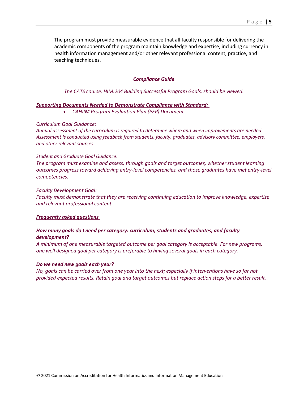The program must provide measurable evidence that all faculty responsible for delivering the academic components of the program maintain knowledge and expertise, including currency in health information management and/or other relevant professional content, practice, and teaching techniques.

# *Compliance Guide*

*The CATS course, HIM.204 Building Successful Program Goals, should be viewed.*

# *Supporting Documents Needed to Demonstrate Compliance with Standard:*

• *CAHIIM Program Evaluation Plan (PEP) Document*

#### *Curriculum Goal Guidance:*

*Annual assessment of the curriculum is required to determine where and when improvements are needed. Assessment is conducted using feedback from students, faculty, graduates, advisory committee, employers, and other relevant sources*.

#### *Student and Graduate Goal Guidance:*

*The program must examine and assess, through goals and target outcomes, whether student learning outcomes progress toward achieving entry-level competencies, and those graduates have met entry-level competencies.*

#### *Faculty Development Goal:*

*Faculty must demonstrate that they are receiving continuing education to improve knowledge, expertise and relevant professional content.* 

#### *Frequently asked questions*

# *How many goals do I need per category: curriculum, students and graduates, and faculty development?*

*A minimum of one measurable targeted outcome per goal category is acceptable. For new programs, one well designed goal per category is preferable to having several goals in each category.*

#### *Do we need new goals each year?*

*No, goals can be carried over from one year into the next; especially if interventions have so far not provided expected results. Retain goal and target outcomes but replace action steps for a better result.*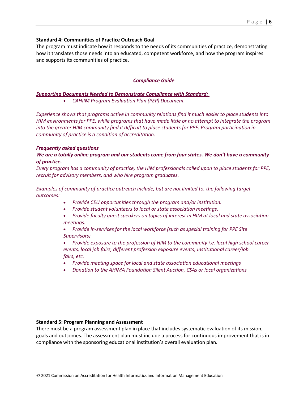# **Standard 4: Communities of Practice Outreach Goal**

The program must indicate how it responds to the needs of its communities of practice, demonstrating how it translates those needs into an educated, competent workforce, and how the program inspires and supports its communities of practice.

# *Compliance Guide*

# *Supporting Documents Needed to Demonstrate Compliance with Standard:*

• *CAHIIM Program Evaluation Plan (PEP) Document*

*Experience shows that programs active in community relations find it much easier to place students into HIM environments for PPE, while programs that have made little or no attempt to integrate the program into the greater HIM community find it difficult to place students for PPE. Program participation in community of practice is a condition of accreditation.*

# *Frequently asked questions*

# *We are a totally online program and our students come from four states. We don't have a community of practice.*

*Every program has a community of practice, the HIM professionals called upon to place students for PPE, recruit for advisory members, and who hire program graduates.*

# *Examples of community of practice outreach include, but are not limited to, the following target outcomes:*

- *Provide CEU opportunities through the program and/or institution.*
- *Provide student volunteers to local or state association meetings.*
- *Provide faculty guest speakers on topics of interest in HIM at local and state association meetings.*
- *Provide in-services for the local workforce (such as special training for PPE Site Supervisors)*
- *Provide exposure to the profession of HIM to the community i.e. local high school career events, local job fairs, different profession exposure events, institutional career/job fairs, etc.*
- *Provide meeting space for local and state association educational meetings*
- *Donation to the AHIMA Foundation Silent Auction, CSAs or local organizations*

# **Standard 5: Program Planning and Assessment**

There must be a program assessment plan in place that includes systematic evaluation of its mission, goals and outcomes. The assessment plan must include a process for continuous improvement that is in compliance with the sponsoring educational institution's overall evaluation plan.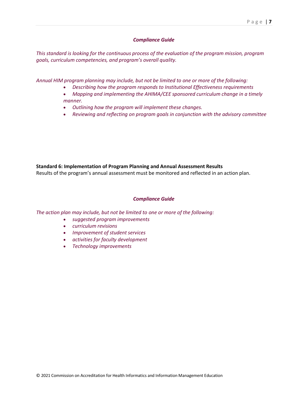# *Compliance Guide*

*This standard is looking for the continuous process of the evaluation of the program mission, program goals, curriculum competencies, and program's overall quality.*

*Annual HIM program planning may include, but not be limited to one or more of the following:* 

- *Describing how the program responds to Institutional Effectiveness requirements*
- *Mapping and implementing the AHIMA/CEE sponsored curriculum change in a timely manner.*
- *Outlining how the program will implement these changes.*
- *Reviewing and reflecting on program goals in conjunction with the advisory committee*

**Standard 6: Implementation of Program Planning and Annual Assessment Results**

Results of the program's annual assessment must be monitored and reflected in an action plan.

# *Compliance Guide*

*The action plan may include, but not be limited to one or more of the following:*

- *suggested program improvements*
- *curriculum revisions*
- *Improvement of student services*
- *activities for faculty development*
- *Technology improvements*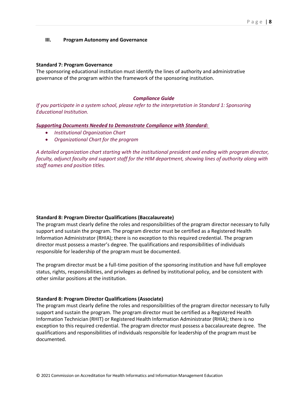# **III. Program Autonomy and Governance**

#### **Standard 7: Program Governance**

The sponsoring educational institution must identify the lines of authority and administrative governance of the program within the framework of the sponsoring institution.

#### *Compliance Guide*

*If you participate in a system school, please refer to the interpretation in Standard 1: Sponsoring Educational Institution.*

*Supporting Documents Needed to Demonstrate Compliance with Standard:*

- *Institutional Organization Chart*
- *Organizational Chart for the program*

*A detailed organization chart starting with the institutional president and ending with program director, faculty, adjunct faculty and support staff for the HIM department, showing lines of authority along with staff names and position titles.*

# **Standard 8: Program Director Qualifications (Baccalaureate)**

The program must clearly define the roles and responsibilities of the program director necessary to fully support and sustain the program. The program director must be certified as a Registered Health Information Administrator (RHIA); there is no exception to this required credential. The program director must possess a master's degree. The qualifications and responsibilities of individuals responsible for leadership of the program must be documented.

The program director must be a full-time position of the sponsoring institution and have full employee status, rights, responsibilities, and privileges as defined by institutional policy, and be consistent with other similar positions at the institution.

#### **Standard 8: Program Director Qualifications (Associate)**

The program must clearly define the roles and responsibilities of the program director necessary to fully support and sustain the program. The program director must be certified as a Registered Health Information Technician (RHIT) or Registered Health Information Administrator (RHIA); there is no exception to this required credential. The program director must possess a baccalaureate degree. The qualifications and responsibilities of individuals responsible for leadership of the program must be documented.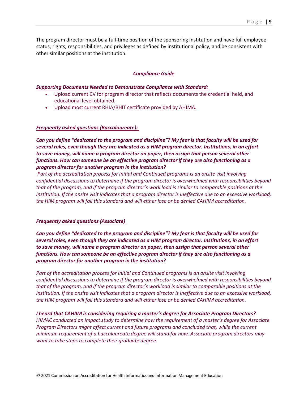The program director must be a full-time position of the sponsoring institution and have full employee status, rights, responsibilities, and privileges as defined by institutional policy, and be consistent with other similar positions at the institution.

# *Compliance Guide*

#### *Supporting Documents Needed to Demonstrate Compliance with Standard:*

- Upload current CV for program director that reflects documents the credential held, and educational level obtained.
- Upload most current RHIA/RHIT certificate provided by AHIMA.

#### *Frequently asked questions (Baccalaureate):*

*Can you define "dedicated to the program and discipline"? My fear is that faculty will be used for several roles, even though they are indicated as a HIM program director. Institutions, in an effort to save money, will name a program director on paper, then assign that person several other functions. How can someone be an effective program director if they are also functioning as a program director for another program in the institution?*

*Part of the accreditation process for Initial and Continued programs is an onsite visit involving confidential discussions to determine if the program director is overwhelmed with responsibilities beyond that of the program, and if the program director's work load is similar to comparable positions at the*  institution. If the onsite visit indicates that a program director is ineffective due to an excessive workload, *the HIM program will fail this standard and will either lose or be denied CAHIIM accreditation.*

#### *Frequently asked questions (Associate)*

*Can you define "dedicated to the program and discipline"? My fear is that faculty will be used for several roles, even though they are indicated as a HIM program director. Institutions, in an effort to save money, will name a program director on paper, then assign that person several other functions. How can someone be an effective program director if they are also functioning as a program director for another program in the institution?*

*Part of the accreditation process for Initial and Continued programs is an onsite visit involving confidential discussions to determine if the program director is overwhelmed with responsibilities beyond that of the program, and if the program director's workload is similar to comparable positions at the*  institution. If the onsite visit indicates that a program director is ineffective due to an excessive workload, *the HIM program will fail this standard and will either lose or be denied CAHIIM accreditation.*

# *I heard that CAHIIM is considering requiring a master's degree for Associate Program Directors?*

*HIMAC conducted an impact study to determine how the requirement of a master's degree for Associate Program Directors might affect current and future programs and concluded that, while the current minimum requirement of a baccalaureate degree will stand for now, Associate program directors may want to take steps to complete their graduate degree.*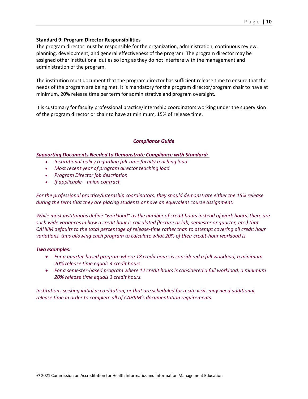# **Standard 9: Program Director Responsibilities**

The program director must be responsible for the organization, administration, continuous review, planning, development, and general effectiveness of the program. The program director may be assigned other institutional duties so long as they do not interfere with the management and administration of the program.

The institution must document that the program director has sufficient release time to ensure that the needs of the program are being met. It is mandatory for the program director/program chair to have at minimum, 20% release time per term for administrative and program oversight.

It is customary for faculty professional practice/internship coordinators working under the supervision of the program director or chair to have at minimum, 15% of release time.

# *Compliance Guide*

# *Supporting Documents Needed to Demonstrate Compliance with Standard:*

- *Institutional policy regarding full-time faculty teaching load*
- *Most recent year of program director teaching load*
- *Program Director job description*
- *If applicable – union contract*

*For the professional practice/internship coordinators, they should demonstrate either the 15% release during the term that they are placing students or have an equivalent course assignment.*

*While most institutions define "workload" as the number of credit hours instead of work hours, there are such wide variances in how a credit hour is calculated (lecture or lab, semester or quarter, etc.) that CAHIIM defaults to the total percentage of release-time rather than to attempt covering all credit hour variations, thus allowing each program to calculate what 20% of their credit-hour workload is.*

# *Two examples:*

- *For a quarter-based program where 18 credit hours is considered a full workload, a minimum 20% release time equals 4 credit hours.*
- *For a semester-based program where 12 credit hours is considered a full workload, a minimum 20% release time equals 3 credit hours.*

*Institutions seeking initial accreditation, or that are scheduled for a site visit, may need additional release time in order to complete all of CAHIIM's documentation requirements.*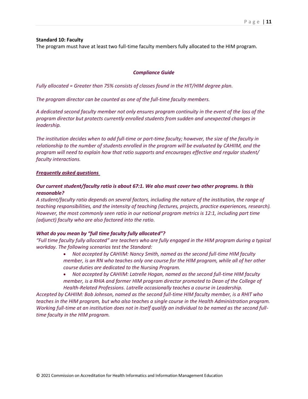#### **Standard 10: Faculty**

The program must have at least two full-time faculty members fully allocated to the HIM program.

#### *Compliance Guide*

*Fully allocated = Greater than 75% consists of classes found in the HIT/HIM degree plan.*

*The program director can be counted as one of the full-time faculty members.*

*A dedicated second faculty member not only ensures program continuity in the event of the loss of the program director but protects currently enrolled students from sudden and unexpected changes in leadership.*

*The institution decides when to add full-time or part-time faculty; however, the size of the faculty in relationship to the number of students enrolled in the program will be evaluated by CAHIIM, and the program will need to explain how that ratio supports and encourages effective and regular student/ faculty interactions.*

#### *Frequently asked questions*

# *Our current student/faculty ratio is about 67:1. We also must cover two other programs. Is this reasonable?*

*A student/faculty ratio depends on several factors, including the nature of the institution, the range of teaching responsibilities, and the intensity of teaching (lectures, projects, practice experiences, research). However, the most commonly seen ratio in our national program metrics is 12:1, including part time (adjunct) faculty who are also factored into the ratio.*

# *What do you mean by "full time faculty fully allocated"?*

*"Full time faculty fully allocated" are teachers who are fully engaged in the HIM program during a typical workday. The following scenarios test the Standard:*

- *Not accepted by CAHIIM: Nancy Smith, named as the second full-time HIM faculty member, is an RN who teaches only one course for the HIM program, while all of her other course duties are dedicated to the Nursing Program.*
- *Not accepted by CAHIIM: Latrelle Hogan, named as the second full-time HIM faculty member, is a RHIA and former HIM program director promoted to Dean of the College of*
- *Health-Related Professions. Latrelle occasionally teaches a course in Leadership.*

*Accepted by CAHIIM: Bob Johnson, named as the second full-time HIM faculty member, is a RHIT who teaches in the HIM program, but who also teaches a single course in the Health Administration program. Working full-time at an institution does not in itself qualify an individual to be named as the second fulltime faculty in the HIM program.*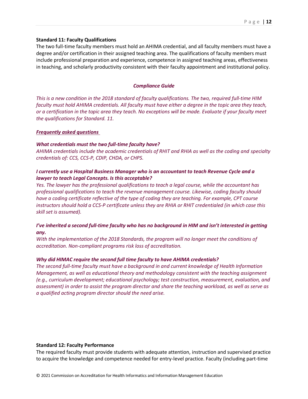#### **Standard 11: Faculty Qualifications**

The two full-time faculty members must hold an AHIMA credential, and all faculty members must have a degree and/or certification in their assigned teaching area. The qualifications of faculty members must include professional preparation and experience, competence in assigned teaching areas, effectiveness in teaching, and scholarly productivity consistent with their faculty appointment and institutional policy.

#### *Compliance Guide*

*This is a new condition in the 2018 standard of faculty qualifications. The two, required full-time HIM faculty must hold AHIMA credentials. All faculty must have either a degree in the topic area they teach, or a certification in the topic area they teach. No exceptions will be made. Evaluate if your faculty meet the qualifications for Standard. 11.*

#### *Frequently asked questions*

#### *What credentials must the two full-time faculty have?*

*AHIMA credentials include the academic credentials of RHIT and RHIA as well as the coding and specialty credentials of: CCS, CCS-P, CDIP, CHDA, or CHPS.*

# *I currently use a Hospital Business Manager who is an accountant to teach Revenue Cycle and a lawyer to teach Legal Concepts. Is this acceptable?*

*Yes. The lawyer has the professional qualifications to teach a legal course, while the accountant has professional qualifications to teach the revenue management course. Likewise, coding faculty should have a coding certificate reflective of the type of coding they are teaching. For example, CPT course instructors should hold a CCS-P certificate unless they are RHIA or RHIT credentialed (in which case this skill set is assumed).*

# *I've inherited a second full-time faculty who has no background in HIM and isn't interested in getting any.*

*With the implementation of the 2018 Standards, the program will no longer meet the conditions of accreditation. Non-compliant programs risk loss of accreditation.*

# *Why did HIMAC require the second full time faculty to have AHIMA credentials?*

*The second full-time faculty must have a background in and current knowledge of Health Information Management, as well as educational theory and methodology consistent with the teaching assignment (e.g., curriculum development; educational psychology; test construction, measurement, evaluation, and assessment) in order to assist the program director and share the teaching workload, as well as serve as a qualified acting program director should the need arise.*

#### **Standard 12: Faculty Performance**

The required faculty must provide students with adequate attention, instruction and supervised practice to acquire the knowledge and competence needed for entry-level practice. Faculty (including part-time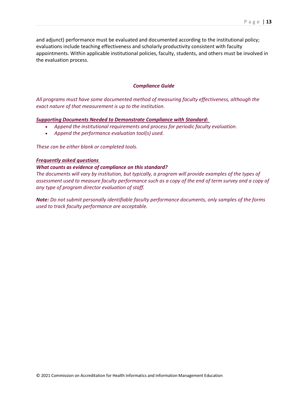and adjunct) performance must be evaluated and documented according to the institutional policy; evaluations include teaching effectiveness and scholarly productivity consistent with faculty appointments. Within applicable institutional policies, faculty, students, and others must be involved in the evaluation process.

# *Compliance Guide*

*All programs must have some documented method of measuring faculty effectiveness, although the exact nature of that measurement is up to the institution.*

#### *Supporting Documents Needed to Demonstrate Compliance with Standard:*

- *Append the institutional requirements and process for periodic faculty evaluation.*
- *Append the performance evaluation tool(s) used.*

*These can be either blank or completed tools.*

# *Frequently asked questions*

#### *What counts as evidence of compliance on this standard?*

*The documents will vary by institution, but typically, a program will provide examples of the types of assessment used to measure faculty performance such as a copy of the end of term survey and a copy of any type of program director evaluation of staff.*

*Note: Do not submit personally identifiable faculty performance documents, only samples of the forms used to track faculty performance are acceptable.*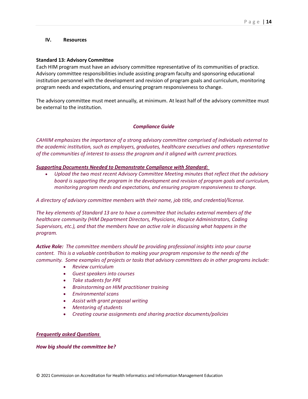#### **IV. Resources**

#### **Standard 13: Advisory Committee**

Each HIM program must have an advisory committee representative of its communities of practice. Advisory committee responsibilities include assisting program faculty and sponsoring educational institution personnel with the development and revision of program goals and curriculum, monitoring program needs and expectations, and ensuring program responsiveness to change.

The advisory committee must meet annually, at minimum. At least half of the advisory committee must be external to the institution.

#### *Compliance Guide*

*CAHIIM emphasizes the importance of a strong advisory committee comprised of individuals external to the academic institution, such as employers, graduates, healthcare executives and others representative of the communities of interest to assess the program and it aligned with current practices.*

#### *Supporting Documents Needed to Demonstrate Compliance with Standard:*

• *Upload the two most recent Advisory Committee Meeting minutes that reflect that the advisory board is supporting the program in the development and revision of program goals and curriculum, monitoring program needs and expectations, and ensuring program responsiveness to change.*

*A directory of advisory committee members with their name, job title, and credential/license.*

*The key elements of Standard 13 are to have a committee that includes external members of the healthcare community (HIM Department Directors, Physicians, Hospice Administrators, Coding Supervisors, etc.), and that the members have an active role in discussing what happens in the program.* 

*Active Role: The committee members should be providing professional insights into your course content. This is a valuable contribution to making your program responsive to the needs of the community. Some examples of projects or tasks that advisory committees do in other programs include:*

- *Review curriculum*
- *Guest speakers into courses*
- *Take students for PPE*
- *Brainstorming on HIM practitioner training*
- *Environmental scans*
- *Assist with grant proposal writing*
- *Mentoring of students*
- *Creating course assignments and sharing practice documents/policies*

#### *Frequently asked Questions*

*How big should the committee be?*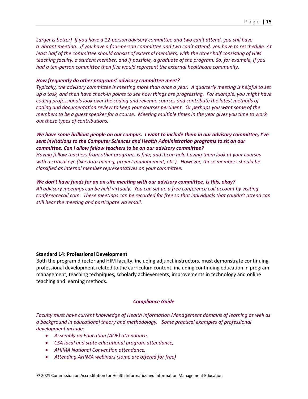*Larger is better! If you have a 12-person advisory committee and two can't attend, you still have a vibrant meeting. If you have a four-person committee and two can't attend, you have to reschedule. At least half of the committee should consist of external members, with the other half consisting of HIM teaching faculty, a student member, and if possible, a graduate of the program. So, for example, if you had a ten-person committee then five would represent the external healthcare community.*

#### *How frequently do other programs' advisory committee meet?*

*Typically, the advisory committee is meeting more than once a year. A quarterly meeting is helpful to set up a task, and then have check-in points to see how things are progressing. For example, you might have coding professionals look over the coding and revenue courses and contribute the latest methods of coding and documentation review to keep your courses pertinent. Or perhaps you want some of the members to be a guest speaker for a course. Meeting multiple times in the year gives you time to work out these types of contributions.*

# *We have some brilliant people on our campus. I want to include them in our advisory committee, I've sent invitations to the Computer Sciences and Health Administration programs to sit on our committee. Can I allow fellow teachers to be on our advisory committee?*

*Having fellow teachers from other programs is fine; and it can help having them look at your courses with a critical eye (like data mining, project management, etc.). However, these members should be classified as internal member representatives on your committee.* 

#### *We don't have funds for an on-site meeting with our advisory committee. Is this, okay?*

*All advisory meetings can be held virtually. You can set up a free conference call account by visiting conferencecall.com. These meetings can be recorded for free so that individuals that couldn't attend can still hear the meeting and participate via email.*

#### **Standard 14: Professional Development**

Both the program director and HIM faculty, including adjunct instructors, must demonstrate continuing professional development related to the curriculum content, including continuing education in program management, teaching techniques, scholarly achievements, improvements in technology and online teaching and learning methods.

#### *Compliance Guide*

*Faculty must have current knowledge of Health Information Management domains of learning as well as a background in educational theory and methodology. Some practical examples of professional development include:*

- *Assembly on Education (AOE) attendance,*
- *CSA local and state educational program attendance,*
- *AHIMA National Convention attendance,*
- *Attending AHIMA webinars (some are offered for free)*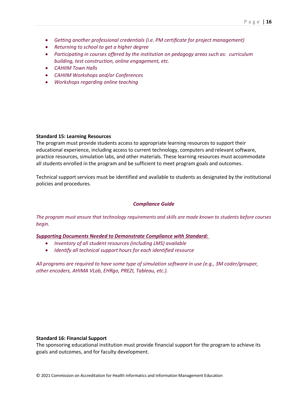- *Getting another professional credentials (i.e. PM certificate for project management)*
- *Returning to school to get a higher degree*
- *Participating in courses offered by the institution on pedagogy areas such as: curriculum building, test construction, online engagement, etc.*
- *CAHIIM Town Halls*
- *CAHIIM Workshops and/or Conferences*
- *Workshops regarding online teaching*

#### **Standard 15: Learning Resources**

The program must provide students access to appropriate learning resources to support their educational experience, including access to current technology, computers and relevant software, practice resources, simulation labs, and other materials. These learning resources must accommodate all students enrolled in the program and be sufficient to meet program goals and outcomes.

Technical support services must be identified and available to students as designated by the institutional policies and procedures.

# *Compliance Guide*

*The program must ensure that technology requirements and skills are made known to students before courses begin.*

#### *Supporting Documents Needed to Demonstrate Compliance with Standard:*

- *Inventory of all student resources (including LMS) available*
- *Identify all technical support hours for each identified resource*

*All programs are required to have some type of simulation software in use (e.g., 3M coder/grouper, other encoders, AHIMA VLab, EHRgo, PREZI, Tableau, etc.).* 

#### **Standard 16: Financial Support**

The sponsoring educational institution must provide financial support for the program to achieve its goals and outcomes, and for faculty development.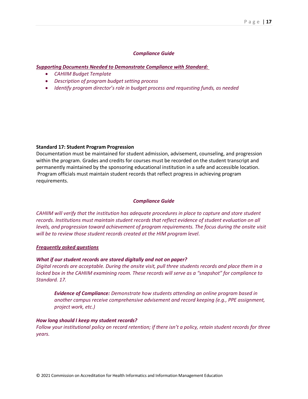#### *Compliance Guide*

#### *Supporting Documents Needed to Demonstrate Compliance with Standard:*

- *CAHIIM Budget Template*
- *Description of program budget setting process*
- *Identify program director's role in budget process and requesting funds, as needed*

#### **Standard 17: Student Program Progression**

Documentation must be maintained for student admission, advisement, counseling, and progression within the program. Grades and credits for courses must be recorded on the student transcript and permanently maintained by the sponsoring educational institution in a safe and accessible location. Program officials must maintain student records that reflect progress in achieving program requirements.

#### *Compliance Guide*

*CAHIIM will verify that the institution has adequate procedures in place to capture and store student records. Institutions must maintain student records that reflect evidence of student evaluation on all levels, and progression toward achievement of program requirements. The focus during the onsite visit will be to review those student records created at the HIM program level.*

#### *Frequently asked questions*

# *What if our student records are stored digitally and not on paper?*

*Digital records are acceptable. During the onsite visit, pull three students records and place them in a locked box in the CAHIIM examining room. These records will serve as a "snapshot" for compliance to Standard. 17.*

*Evidence of Compliance: Demonstrate how students attending an online program based in another campus receive comprehensive advisement and record keeping (e.g., PPE assignment, project work, etc.)*

#### *How long should I keep my student records?*

*Follow your institutional policy on record retention; if there isn't a policy, retain student records for three years.*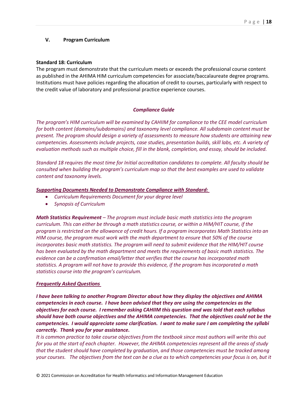# **V. Program Curriculum**

#### **Standard 18: Curriculum**

The program must demonstrate that the curriculum meets or exceeds the professional course content as published in the AHIMA HIM curriculum competencies for associate/baccalaureate degree programs. Institutions must have policies regarding the allocation of credit to courses, particularly with respect to the credit value of laboratory and professional practice experience courses.

#### *Compliance Guide*

*The program's HIM curriculum will be examined by CAHIIM for compliance to the CEE model curriculum for both content (domains/subdomains) and taxonomy level compliance. All subdomain content must be present. The program should design a variety of assessments to measure how students are attaining new competencies. Assessments include projects, case studies, presentation builds, skill labs, etc. A variety of evaluation methods such as multiple choice, fill in the blank, completion, and essay, should be included.* 

*Standard 18 requires the most time for Initial accreditation candidates to complete. All faculty should be consulted when building the program's curriculum map so that the best examples are used to validate content and taxonomy levels.*

#### *Supporting Documents Needed to Demonstrate Compliance with Standard:*

- *Curriculum Requirements Document for your degree level*
- *Synopsis of Curriculum*

*Math Statistics Requirement – The program must include basic math statistics into the program curriculum. This can either be through a math statistics course, or within a HIM/HIT course, if the program is restricted on the allowance of credit hours. If a program incorporates Math Statistics into an HIM course, the program must work with the math department to ensure that 50% of the course incorporates basic math statistics. The program will need to submit evidence that the HIM/HIT course has been evaluated by the math department and meets the requirements of basic math statistics. The evidence can be a confirmation email/letter that verifies that the course has incorporated math statistics. A program will not have to provide this evidence, if the program has incorporated a math statistics course into the program's curriculum.*

# *Frequently Asked Questions*

*I have been talking to another Program Director about how they display the objectives and AHIMA competencies in each course. I have been advised that they are using the competencies as the objectives for each course. I remember asking CAHIIM this question and was told that each syllabus should have both course objectives and the AHIMA competencies. That the objectives could not be the competencies. I would appreciate some clarification. I want to make sure I am completing the syllabi correctly. Thank you for your assistance.*

*It is common practice to take course objectives from the textbook since most authors will write this out for you at the start of each chapter. However, the AHIMA competencies represent all the areas of study that the student should have completed by graduation, and those competencies must be tracked among your courses. The objectives from the text can be a clue as to which competencies your focus is on, but it*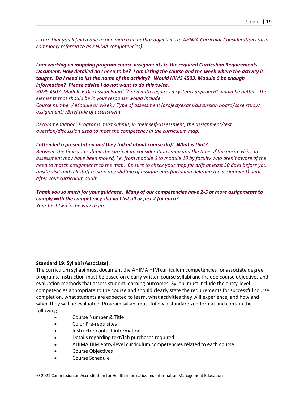*is rare that you'll find a one to one match on author objectives to AHIMA Curricular Considerations (also commonly referred to as AHIMA competencies).*

*I am working on mapping program course assignments to the required Curriculum Requirements Document. How detailed do I need to be? I am listing the course and the week where the activity is taught. Do I need to list the name of the activity? Would HIMS 4503, Module 6 be enough information? Please advise I do not want to do this twice.*

*HIMS 4503, Module 6 Discussion Board "Good data requires a systems approach" would be better. The elements that should be in your response would include:*

*Course number / Module or Week / Type of assessment (project/exam/discussion board/case study/ assignment) /Brief title of assessment*

*Recommendation: Programs must submit, in their self-assessment, the assignment/test question/discussion used to meet the competency in the curriculum map.*

#### *I attended a presentation and they talked about course drift. What is that?*

*Between the time you submit the curriculum considerations map and the time of the onsite visit, an assessment may have been moved, i.e. from module 6 to module 10 by faculty who aren't aware of the need to match assignments to the map. Be sure to check your map for drift at least 30 days before you onsite visit and tell staff to stop any shifting of assignments (including deleting the assignment) until after your curriculum audit.* 

*Thank you so much for your guidance. Many of our competencies have 2-5 or more assignments to comply with the competency should I list all or just 2 for each? Your best two is the way to go.*

#### **Standard 19: Syllabi (Associate):**

The curriculum syllabi must document the AHIMA HIM curriculum competencies for associate degree programs. Instruction must be based on clearly written course syllabi and include course objectives and evaluation methods that assess student learning outcomes. Syllabi must include the entry-level competencies appropriate to the course and should clearly state the requirements for successful course completion, what students are expected to learn, what activities they will experience, and how and when they will be evaluated. Program syllabi must follow a standardized format and contain the following:

- Course Number & Title
- Co or Pre-requisites
- Instructor contact information
- Details regarding text/lab purchases required
- AHIMA HIM entry-level curriculum competencies related to each course
- Course Objectives
- Course Schedule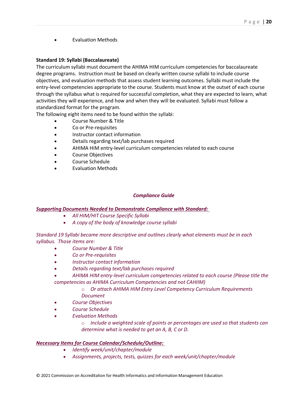• Evaluation Methods

# **Standard 19: Syllabi (Baccalaureate)**

The curriculum syllabi must document the AHIMA HIM curriculum competencies for baccalaureate degree programs. Instruction must be based on clearly written course syllabi to include course objectives, and evaluation methods that assess student learning outcomes. Syllabi must include the entry-level competencies appropriate to the course. Students must know at the outset of each course through the syllabus what is required for successful completion, what they are expected to learn, what activities they will experience, and how and when they will be evaluated. Syllabi must follow a standardized format for the program.

The following eight items need to be found within the syllabi:

- Course Number & Title
- Co or Pre-requisites
- Instructor contact information
- Details regarding text/lab purchases required
- AHIMA HIM entry-level curriculum competencies related to each course
- Course Objectives
- Course Schedule
- Evaluation Methods

# *Compliance Guide*

# *Supporting Documents Needed to Demonstrate Compliance with Standard:*

- *All HIM/HIT Course Specific Syllabi*
- *A copy of the body of knowledge course syllabi*

*Standard 19 Syllabi became more descriptive and outlines clearly what elements must be in each syllabus. Those items are:*

- *Course Number & Title*
- *Co or Pre-requisites*
- *Instructor contact information*
- *Details regarding text/lab purchases required*
- *AHIMA HIM entry-level curriculum competencies related to each course (Please title the competencies as AHIMA Curriculum Competencies and not CAHIIM)*
	- o *Or attach AHIMA HIM Entry Level Competency Curriculum Requirements Document*
- *Course Objectives*
- *Course Schedule*
- *Evaluation Methods*
	- o *Include a weighted scale of points or percentages are used so that students can determine what is needed to get an A, B, C or D.*

# *Necessary Items for Course Calendar/Schedule/Outline:*

- *Identify week/unit/chapter/module*
- *Assignments, projects, tests, quizzes for each week/unit/chapter/module*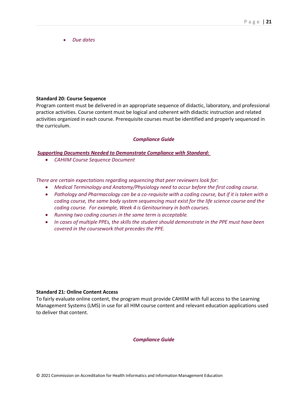• *Due dates*

# **Standard 20: Course Sequence**

Program content must be delivered in an appropriate sequence of didactic, laboratory, and professional practice activities. Course content must be logical and coherent with didactic instruction and related activities organized in each course. Prerequisite courses must be identified and properly sequenced in the curriculum.

# *Compliance Guide*

# *Supporting Documents Needed to Demonstrate Compliance with Standard:*

• *CAHIIM Course Sequence Document*

*There are certain expectations regarding sequencing that peer reviewers look for:*

- *Medical Terminology and Anatomy/Physiology need to occur before the first coding course.*
- *Pathology and Pharmacology can be a co-requisite with a coding course, but if it is taken with a coding course, the same body system sequencing must exist for the life science course and the coding course. For example, Week 4 is Genitourinary in both courses.*
- *Running two coding courses in the same term is acceptable.*
- *In cases of multiple PPEs, the skills the student should demonstrate in the PPE must have been covered in the coursework that precedes the PPE.*

# **Standard 21: Online Content Access**

To fairly evaluate online content, the program must provide CAHIIM with full access to the Learning Management Systems (LMS) in use for all HIM course content and relevant education applications used to deliver that content.

# *Compliance Guide*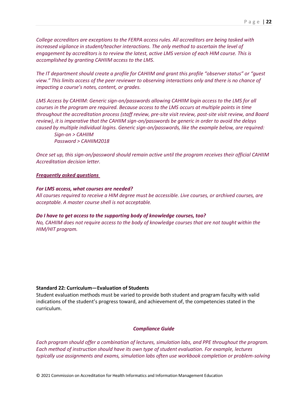*College accreditors are exceptions to the FERPA access rules. All accreditors are being tasked with increased vigilance in student/teacher interactions. The only method to ascertain the level of engagement by accreditors is to review the latest, active LMS version of each HIM course. This is accomplished by granting CAHIIM access to the LMS.*

*The IT department should create a profile for CAHIIM and grant this profile "observer status" or "guest view." This limits access of the peer reviewer to observing interactions only and there is no chance of impacting a course's notes, content, or grades.* 

*LMS Access by CAHIIM: Generic sign-on/passwords allowing CAHIIM login access to the LMS for all courses in the program are required. Because access to the LMS occurs at multiple points in time throughout the accreditation process (staff review, pre-site visit review, post-site visit review, and Board review), it is imperative that the CAHIIM sign-on/passwords be generic in order to avoid the delays caused by multiple individual logins. Generic sign-on/passwords, like the example below, are required: Sign-on > CAHIIM*

*Password > CAHIIM2018*

*Once set up, this sign-on/password should remain active until the program receives their official CAHIIM Accreditation decision letter.*

#### *Frequently asked questions*

#### *For LMS access, what courses are needed?*

*All courses required to receive a HIM degree must be accessible. Live courses, or archived courses, are acceptable. A master course shell is not acceptable.*

#### *Do I have to get access to the supporting body of knowledge courses, too?*

*No, CAHIIM does not require access to the body of knowledge courses that are not taught within the HIM/HIT program.*

# **Standard 22: Curriculum—Evaluation of Students**

Student evaluation methods must be varied to provide both student and program faculty with valid indications of the student's progress toward, and achievement of, the competencies stated in the curriculum.

#### *Compliance Guide*

*Each program should offer a combination of lectures, simulation labs, and PPE throughout the program. Each method of instruction should have its own type of student evaluation. For example, lectures typically use assignments and exams, simulation labs often use workbook completion or problem-solving*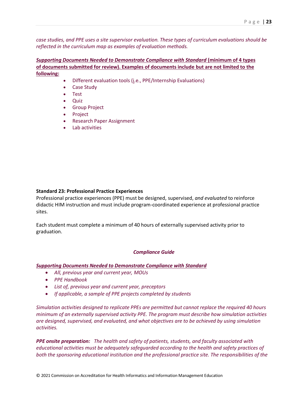*case studies, and PPE uses a site supervisor evaluation. These types of curriculum evaluations should be reflected in the curriculum map as examples of evaluation methods.*

*Supporting Documents Needed to Demonstrate Compliance with Standard* **(minimum of 4 types of documents submitted for review). Examples of documents include but are not limited to the following:**

- Different evaluation tools (i.e., PPE/Internship Evaluations)
- Case Study
- Test
- Quiz
- Group Project
- **Project**
- Research Paper Assignment
- Lab activities

#### **Standard 23: Professional Practice Experiences**

Professional practice experiences (PPE) must be designed, supervised, *and evaluated* to reinforce didactic HIM instruction and must include program-coordinated experience at professional practice sites.

Each student must complete a minimum of 40 hours of externally supervised activity prior to graduation.

#### *Compliance Guide*

#### *Supporting Documents Needed to Demonstrate Compliance with Standard*

- *All, previous year and current year, MOUs*
- *PPE Handbook*
- *List of, previous year and current year, preceptors*
- *If applicable, a sample of PPE projects completed by students*

*Simulation activities designed to replicate PPEs are permitted but cannot replace the required 40 hours minimum of an externally supervised activity PPE. The program must describe how simulation activities are designed, supervised, and evaluated, and what objectives are to be achieved by using simulation activities.* 

*PPE onsite preparation: The health and safety of patients, students, and faculty associated with educational activities must be adequately safeguarded according to the health and safety practices of both the sponsoring educational institution and the professional practice site. The responsibilities of the*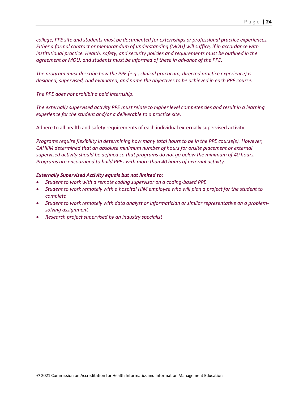*college, PPE site and students must be documented for externships or professional practice experiences. Either a formal contract or memorandum of understanding (MOU) will suffice, if in accordance with institutional practice. Health, safety, and security policies and requirements must be outlined in the agreement or MOU, and students must be informed of these in advance of the PPE.*

*The program must describe how the PPE (e.g., clinical practicum, directed practice experience) is designed, supervised, and evaluated, and name the objectives to be achieved in each PPE course.*

*The PPE does not prohibit a paid internship.*

*The externally supervised activity PPE must relate to higher level competencies and result in a learning experience for the student and/or a deliverable to a practice site.*

Adhere to all health and safety requirements of each individual externally supervised activity.

*Programs require flexibility in determining how many total hours to be in the PPE course(s). However, CAHIIM determined that an absolute minimum number of hours for onsite placement or external supervised activity should be defined so that programs do not go below the minimum of 40 hours. Programs are encouraged to build PPEs with more than 40 hours of external activity.*

#### *Externally Supervised Activity equals but not limited to:*

- *Student to work with a remote coding supervisor on a coding-based PPE*
- *Student to work remotely with a hospital HIM employee who will plan a project for the student to complete*
- *Student to work remotely with data analyst or informatician or similar representative on a problemsolving assignment*
- *Research project supervised by an industry specialist*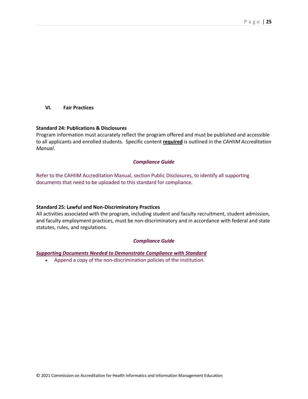**VI. Fair Practices** 

#### **Standard 24: Publications & Disclosures**

Program information must accurately reflect the program offered and must be published and accessible to all applicants and enrolled students. Specific content **required** is outlined in the *CAHIIM Accreditation Manual*.

#### *Compliance Guide*

Refer to the CAHIIM Accreditation Manual, section Public Disclosures, to identify all supporting documents that need to be uploaded to this standard for compliance.

#### **Standard 25: Lawful and Non-Discriminatory Practices**

All activities associated with the program, including student and faculty recruitment, student admission, and faculty employment practices, must be non-discriminatory and in accordance with federal and state statutes, rules, and regulations.

#### *Compliance Guide*

*Supporting Documents Needed to Demonstrate Compliance with Standard*

• Append a copy of the non-discrimination policies of the institution.